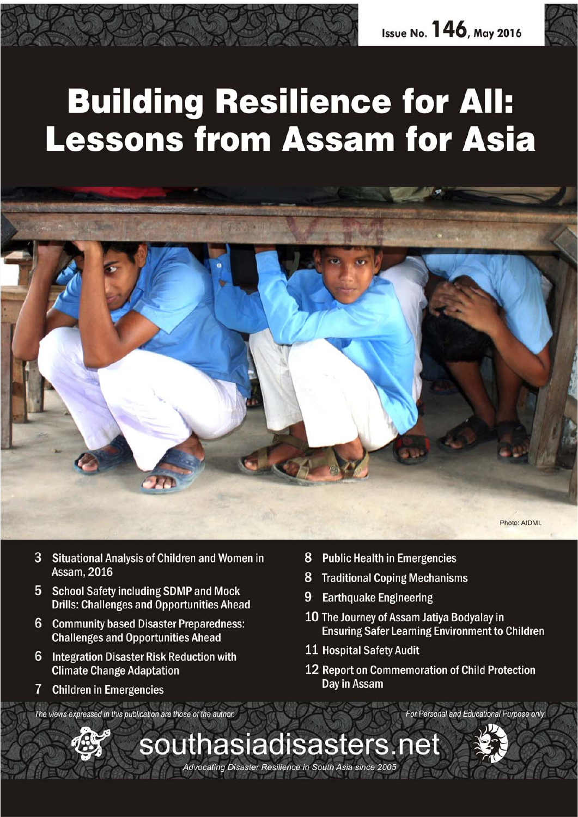

# **Building Resilience for All: Lessons from Assam for Asia**



8

- 3 Situational Analysis of Children and Women in **Assam. 2016**
- 5 School Safety including SDMP and Mock **Drills: Challenges and Opportunities Ahead**
- 6 **Community based Disaster Preparedness: Challenges and Opportunities Ahead**
- 6 Integration Disaster Risk Reduction with **Climate Change Adaptation**
- $\overline{7}$ **Children in Emergencies**

8 **Traditional Coping Mechanisms** 

**Public Health in Emergencies** 

- 9 **Earthquake Engineering**
- 10 The Journey of Assam Jatiya Bodyalay in **Ensuring Safer Learning Environment to Children**
- 11 Hospital Safety Audit
- 12 Report on Commemoration of Child Protection **Day in Assam**

For Personal and Educational Purpose only

The views expressed in this publication are those of the author.



southasiadisasters.net Advocating Disaster Resilience in South Asia since 2005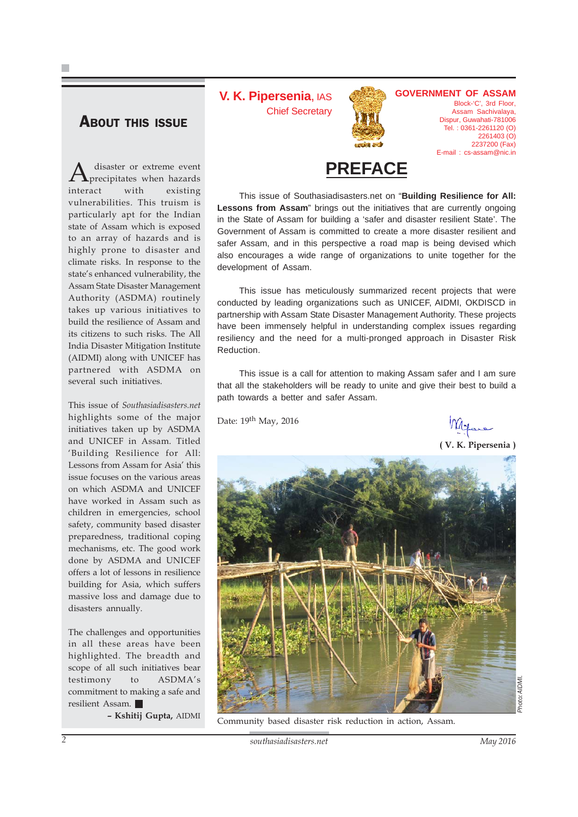#### **ABOUT THIS ISSUE**

A disaster or extreme event<br>precipitates when hazards interact with existing vulnerabilities. This truism is particularly apt for the Indian state of Assam which is exposed to an array of hazards and is highly prone to disaster and climate risks. In response to the state's enhanced vulnerability, the Assam State Disaster Management Authority (ASDMA) routinely takes up various initiatives to build the resilience of Assam and its citizens to such risks. The All India Disaster Mitigation Institute (AIDMI) along with UNICEF has partnered with ASDMA on several such initiatives.

This issue of *Southasiadisasters.net* highlights some of the major initiatives taken up by ASDMA and UNICEF in Assam. Titled 'Building Resilience for All: Lessons from Assam for Asia' this issue focuses on the various areas on which ASDMA and UNICEF have worked in Assam such as children in emergencies, school safety, community based disaster preparedness, traditional coping mechanisms, etc. The good work done by ASDMA and UNICEF offers a lot of lessons in resilience building for Asia, which suffers massive loss and damage due to disasters annually.

The challenges and opportunities in all these areas have been highlighted. The breadth and scope of all such initiatives bear testimony to ASDMA's commitment to making a safe and resilient Assam.

**– Kshitij Gupta,** AIDMI

**V. K. Pipersenia**, IAS Chief Secretary



**GOVERNMENT OF ASSAM** Block-'C', 3rd Floor, Assam Sachivalaya, Dispur, Guwahati-781006 Tel. : 0361-2261120 (O) 2261403 (O) 2237200 (Fax) E-mail : cs-assam@nic.in

**PREFACE**

This issue of Southasiadisasters.net on "**Building Resilience for All: Lessons from Assam**" brings out the initiatives that are currently ongoing in the State of Assam for building a 'safer and disaster resilient State'. The Government of Assam is committed to create a more disaster resilient and safer Assam, and in this perspective a road map is being devised which also encourages a wide range of organizations to unite together for the development of Assam.

This issue has meticulously summarized recent projects that were conducted by leading organizations such as UNICEF, AIDMI, OKDISCD in partnership with Assam State Disaster Management Authority. These projects have been immensely helpful in understanding complex issues regarding resiliency and the need for a multi-pronged approach in Disaster Risk Reduction.

This issue is a call for attention to making Assam safer and I am sure that all the stakeholders will be ready to unite and give their best to build a path towards a better and safer Assam.

Date: 19th May, 2016

**( V. K. Pipersenia )**



Community based disaster risk reduction in action, Assam.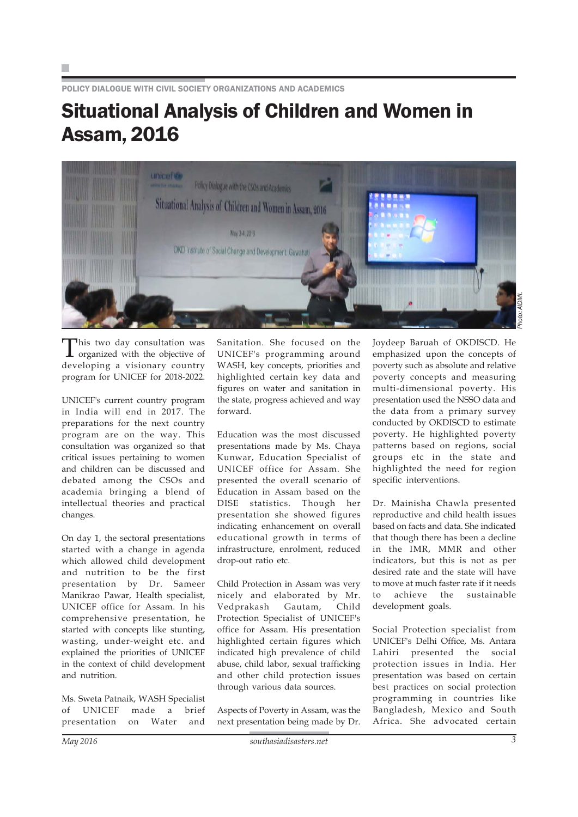POLICY DIALOGUE WITH CIVIL SOCIETY ORGANIZATIONS AND ACADEMICS

### Situational Analysis of Children and Women in Assam, 2016



This two day consultation was organized with the objective of developing a visionary country program for UNICEF for 2018-2022.

UNICEF's current country program in India will end in 2017. The preparations for the next country program are on the way. This consultation was organized so that critical issues pertaining to women and children can be discussed and debated among the CSOs and academia bringing a blend of intellectual theories and practical changes.

On day 1, the sectoral presentations started with a change in agenda which allowed child development and nutrition to be the first presentation by Dr. Sameer Manikrao Pawar, Health specialist, UNICEF office for Assam. In his comprehensive presentation, he started with concepts like stunting, wasting, under-weight etc. and explained the priorities of UNICEF in the context of child development and nutrition.

Ms. Sweta Patnaik, WASH Specialist of UNICEF made a brief presentation on Water and Sanitation. She focused on the UNICEF's programming around WASH, key concepts, priorities and highlighted certain key data and figures on water and sanitation in the state, progress achieved and way forward.

Education was the most discussed presentations made by Ms. Chaya Kunwar, Education Specialist of UNICEF office for Assam. She presented the overall scenario of Education in Assam based on the DISE statistics. Though her presentation she showed figures indicating enhancement on overall educational growth in terms of infrastructure, enrolment, reduced drop-out ratio etc.

Child Protection in Assam was very nicely and elaborated by Mr. Vedprakash Gautam, Child Protection Specialist of UNICEF's office for Assam. His presentation highlighted certain figures which indicated high prevalence of child abuse, child labor, sexual trafficking and other child protection issues through various data sources.

Aspects of Poverty in Assam, was the next presentation being made by Dr. Joydeep Baruah of OKDISCD. He emphasized upon the concepts of poverty such as absolute and relative poverty concepts and measuring multi-dimensional poverty. His presentation used the NSSO data and the data from a primary survey conducted by OKDISCD to estimate poverty. He highlighted poverty patterns based on regions, social groups etc in the state and highlighted the need for region specific interventions.

Dr. Mainisha Chawla presented reproductive and child health issues based on facts and data. She indicated that though there has been a decline in the IMR, MMR and other indicators, but this is not as per desired rate and the state will have to move at much faster rate if it needs to achieve the sustainable development goals.

Social Protection specialist from UNICEF's Delhi Office, Ms. Antara Lahiri presented the social protection issues in India. Her presentation was based on certain best practices on social protection programming in countries like Bangladesh, Mexico and South Africa. She advocated certain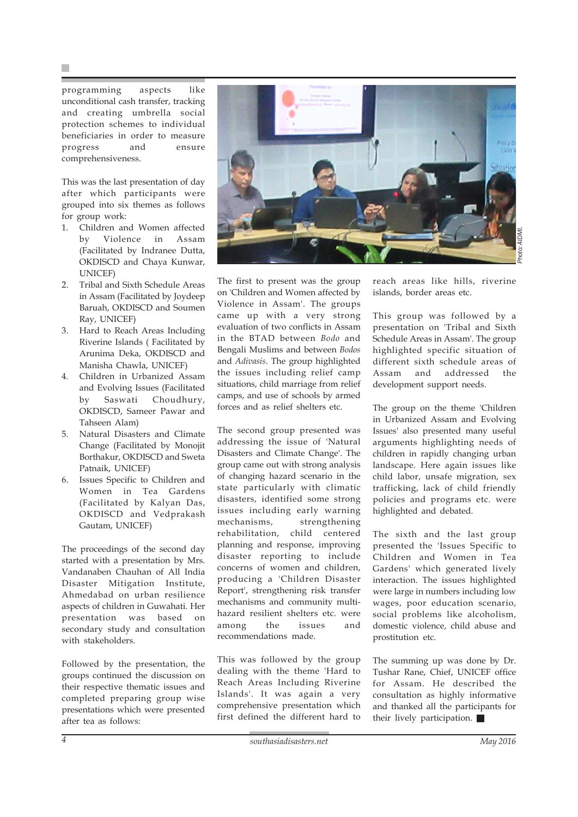programming aspects like unconditional cash transfer, tracking and creating umbrella social protection schemes to individual beneficiaries in order to measure progress and ensure comprehensiveness.

This was the last presentation of day after which participants were grouped into six themes as follows for group work:

- 1. Children and Women affected by Violence in Assam (Facilitated by Indranee Dutta, OKDISCD and Chaya Kunwar, UNICEF)
- 2. Tribal and Sixth Schedule Areas in Assam (Facilitated by Joydeep Baruah, OKDISCD and Soumen Ray, UNICEF)
- 3. Hard to Reach Areas Including Riverine Islands ( Facilitated by Arunima Deka, OKDISCD and Manisha Chawla, UNICEF)
- 4. Children in Urbanized Assam and Evolving Issues (Facilitated by Saswati Choudhury, OKDISCD, Sameer Pawar and Tahseen Alam)
- 5. Natural Disasters and Climate Change (Facilitated by Monojit Borthakur, OKDISCD and Sweta Patnaik, UNICEF)
- 6. Issues Specific to Children and Women in Tea Gardens (Facilitated by Kalyan Das, OKDISCD and Vedprakash Gautam, UNICEF)

The proceedings of the second day started with a presentation by Mrs. Vandanaben Chauhan of All India Disaster Mitigation Institute, Ahmedabad on urban resilience aspects of children in Guwahati. Her presentation was based on secondary study and consultation with stakeholders.

Followed by the presentation, the groups continued the discussion on their respective thematic issues and completed preparing group wise presentations which were presented after tea as follows:



The first to present was the group on 'Children and Women affected by Violence in Assam'. The groups came up with a very strong evaluation of two conflicts in Assam in the BTAD between *Bodo* and Bengali Muslims and between *Bodos* and *Adivasis*. The group highlighted the issues including relief camp situations, child marriage from relief

The second group presented was addressing the issue of 'Natural Disasters and Climate Change'. The group came out with strong analysis of changing hazard scenario in the state particularly with climatic disasters, identified some strong issues including early warning mechanisms, strengthening rehabilitation, child centered planning and response, improving disaster reporting to include concerns of women and children, producing a 'Children Disaster Report', strengthening risk transfer mechanisms and community multihazard resilient shelters etc. were among the issues and recommendations made.

camps, and use of schools by armed forces and as relief shelters etc.

This was followed by the group dealing with the theme 'Hard to Reach Areas Including Riverine Islands'. It was again a very comprehensive presentation which first defined the different hard to

reach areas like hills, riverine islands, border areas etc.

This group was followed by a presentation on 'Tribal and Sixth Schedule Areas in Assam'. The group highlighted specific situation of different sixth schedule areas of Assam and addressed the development support needs.

The group on the theme 'Children in Urbanized Assam and Evolving Issues' also presented many useful arguments highlighting needs of children in rapidly changing urban landscape. Here again issues like child labor, unsafe migration, sex trafficking, lack of child friendly policies and programs etc. were highlighted and debated.

The sixth and the last group presented the 'Issues Specific to Children and Women in Tea Gardens' which generated lively interaction. The issues highlighted were large in numbers including low wages, poor education scenario, social problems like alcoholism, domestic violence, child abuse and prostitution etc.

The summing up was done by Dr. Tushar Rane, Chief, UNICEF office for Assam. He described the consultation as highly informative and thanked all the participants for their lively participation.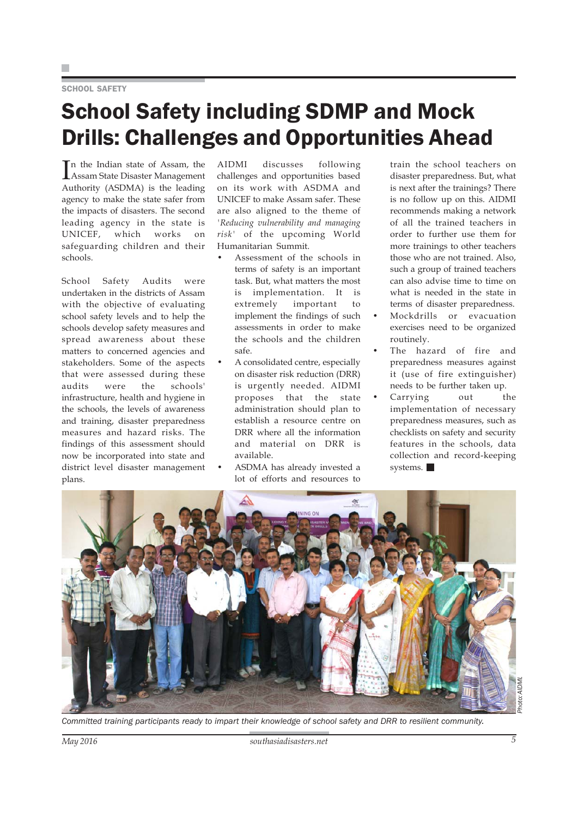#### SCHOOL SAFFTY

# School Safety including SDMP and Mock Drills: Challenges and Opportunities Ahead

In the Indian state of Assam, the<br>Assam State Disaster Management Assam State Disaster Management Authority (ASDMA) is the leading agency to make the state safer from the impacts of disasters. The second leading agency in the state is UNICEF, which works on safeguarding children and their schools.

School Safety Audits were undertaken in the districts of Assam with the objective of evaluating school safety levels and to help the schools develop safety measures and spread awareness about these matters to concerned agencies and stakeholders. Some of the aspects that were assessed during these audits were the schools' infrastructure, health and hygiene in the schools, the levels of awareness and training, disaster preparedness measures and hazard risks. The findings of this assessment should now be incorporated into state and district level disaster management plans.

AIDMI discusses following challenges and opportunities based on its work with ASDMA and UNICEF to make Assam safer. These are also aligned to the theme of *'Reducing vulnerability and managing risk'* of the upcoming World Humanitarian Summit.

- Assessment of the schools in terms of safety is an important task. But, what matters the most is implementation. It is extremely important to implement the findings of such assessments in order to make the schools and the children safe.
- A consolidated centre, especially on disaster risk reduction (DRR) is urgently needed. AIDMI proposes that the state administration should plan to establish a resource centre on DRR where all the information and material on DRR is available.
- ASDMA has already invested a lot of efforts and resources to

train the school teachers on disaster preparedness. But, what is next after the trainings? There is no follow up on this. AIDMI recommends making a network of all the trained teachers in order to further use them for more trainings to other teachers those who are not trained. Also, such a group of trained teachers can also advise time to time on what is needed in the state in terms of disaster preparedness.

- Mockdrills or evacuation exercises need to be organized routinely.
- The hazard of fire and preparedness measures against it (use of fire extinguisher) needs to be further taken up.
- Carrying out the implementation of necessary preparedness measures, such as checklists on safety and security features in the schools, data collection and record-keeping systems.



*Committed training participants ready to impart their knowledge of school safety and DRR to resilient community.*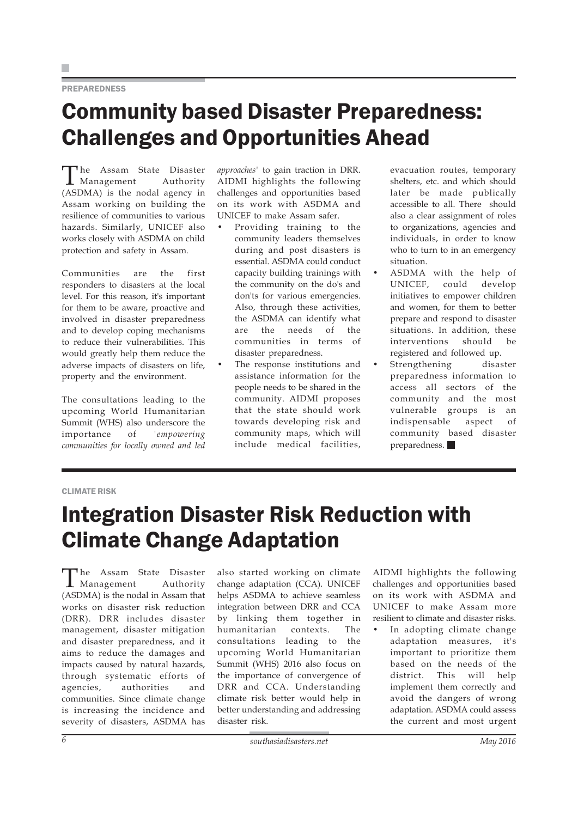#### **PREPAREDNESS**

# Community based Disaster Preparedness: Challenges and Opportunities Ahead

The Assam State Disaster Management Authority (ASDMA) is the nodal agency in Assam working on building the resilience of communities to various hazards. Similarly, UNICEF also works closely with ASDMA on child protection and safety in Assam.

Communities are the first responders to disasters at the local level. For this reason, it's important for them to be aware, proactive and involved in disaster preparedness and to develop coping mechanisms to reduce their vulnerabilities. This would greatly help them reduce the adverse impacts of disasters on life, property and the environment.

The consultations leading to the upcoming World Humanitarian Summit (WHS) also underscore the importance of *'empowering communities for locally owned and led* *approaches'* to gain traction in DRR. AIDMI highlights the following challenges and opportunities based on its work with ASDMA and UNICEF to make Assam safer.

- Providing training to the community leaders themselves during and post disasters is essential. ASDMA could conduct capacity building trainings with the community on the do's and don'ts for various emergencies. Also, through these activities, the ASDMA can identify what are the needs of the communities in terms of disaster preparedness.
- The response institutions and assistance information for the people needs to be shared in the community. AIDMI proposes that the state should work towards developing risk and community maps, which will include medical facilities,

evacuation routes, temporary shelters, etc. and which should later be made publically accessible to all. There should also a clear assignment of roles to organizations, agencies and individuals, in order to know who to turn to in an emergency situation.

- ASDMA with the help of UNICEF, could develop initiatives to empower children and women, for them to better prepare and respond to disaster situations. In addition, these interventions should be registered and followed up.
- Strengthening disaster preparedness information to access all sectors of the community and the most vulnerable groups is an indispensable aspect of community based disaster preparedness.

#### CLIMATE RISK

# Integration Disaster Risk Reduction with Climate Change Adaptation

The Assam State Disaster<br>Management Authority  $\Gamma$  Management (ASDMA) is the nodal in Assam that works on disaster risk reduction (DRR). DRR includes disaster management, disaster mitigation and disaster preparedness, and it aims to reduce the damages and impacts caused by natural hazards, through systematic efforts of agencies, authorities and communities. Since climate change is increasing the incidence and severity of disasters, ASDMA has

also started working on climate change adaptation (CCA). UNICEF helps ASDMA to achieve seamless integration between DRR and CCA by linking them together in humanitarian contexts. The consultations leading to the upcoming World Humanitarian Summit (WHS) 2016 also focus on the importance of convergence of DRR and CCA. Understanding climate risk better would help in better understanding and addressing disaster risk.

AIDMI highlights the following challenges and opportunities based on its work with ASDMA and UNICEF to make Assam more resilient to climate and disaster risks.

In adopting climate change adaptation measures, it's important to prioritize them based on the needs of the district. This will help implement them correctly and avoid the dangers of wrong adaptation. ASDMA could assess the current and most urgent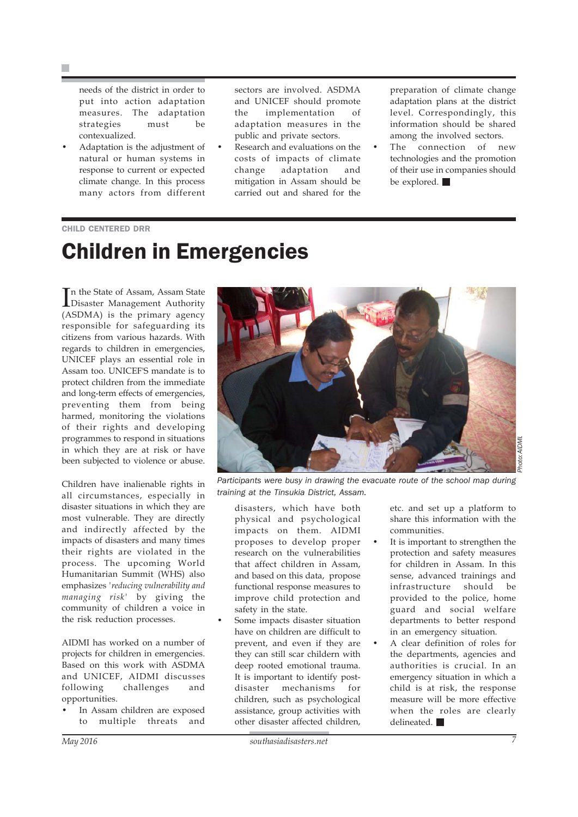needs of the district in order to put into action adaptation measures. The adaptation strategies must be contexualized.

• Adaptation is the adjustment of natural or human systems in response to current or expected climate change. In this process many actors from different sectors are involved. ASDMA and UNICEF should promote the implementation of adaptation measures in the public and private sectors.

• Research and evaluations on the costs of impacts of climate change adaptation and mitigation in Assam should be carried out and shared for the

preparation of climate change adaptation plans at the district level. Correspondingly, this information should be shared among the involved sectors.

The connection of new technologies and the promotion of their use in companies should be explored.

#### CHILD CENTERED DRR

# Children in Emergencies

In the State of Assam, Assam State<br>Disaster Management Authority Disaster Management Authority (ASDMA) is the primary agency responsible for safeguarding its citizens from various hazards. With regards to children in emergencies, UNICEF plays an essential role in Assam too. UNICEF'S mandate is to protect children from the immediate and long-term effects of emergencies, preventing them from being harmed, monitoring the violations of their rights and developing programmes to respond in situations in which they are at risk or have been subjected to violence or abuse.

Children have inalienable rights in all circumstances, especially in disaster situations in which they are most vulnerable. They are directly and indirectly affected by the impacts of disasters and many times their rights are violated in the process. The upcoming World Humanitarian Summit (WHS) also emphasizes *'reducing vulnerability and managing risk'* by giving the community of children a voice in the risk reduction processes.

AIDMI has worked on a number of projects for children in emergencies. Based on this work with ASDMA and UNICEF, AIDMI discusses following challenges and opportunities.

In Assam children are exposed to multiple threats and



*Participants were busy in drawing the evacuate route of the school map during training at the Tinsukia District, Assam.*

disasters, which have both physical and psychological impacts on them. AIDMI proposes to develop proper research on the vulnerabilities that affect children in Assam, and based on this data, propose functional response measures to improve child protection and safety in the state.

Some impacts disaster situation have on children are difficult to prevent, and even if they are they can still scar childern with deep rooted emotional trauma. It is important to identify postdisaster mechanisms for children, such as psychological assistance, group activities with other disaster affected children,

etc. and set up a platform to share this information with the communities.

- It is important to strengthen the protection and safety measures for children in Assam. In this sense, advanced trainings and infrastructure should be provided to the police, home guard and social welfare departments to better respond in an emergency situation.
- A clear definition of roles for the departments, agencies and authorities is crucial. In an emergency situation in which a child is at risk, the response measure will be more effective when the roles are clearly delineated.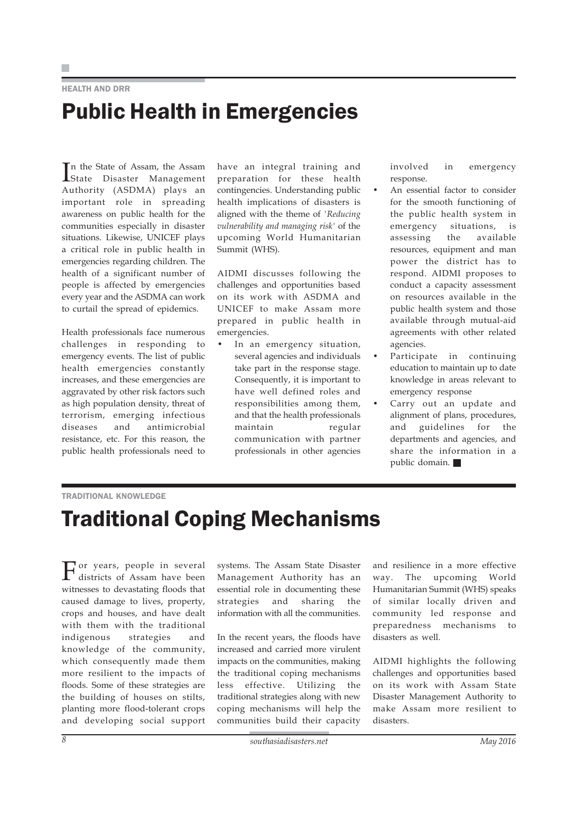### HEALTH AND DRR Public Health in Emergencies

In the State of Assam, the Assam<br>State Disaster Management n the State of Assam, the Assam Authority (ASDMA) plays an important role in spreading awareness on public health for the communities especially in disaster situations. Likewise, UNICEF plays a critical role in public health in emergencies regarding children. The health of a significant number of people is affected by emergencies every year and the ASDMA can work to curtail the spread of epidemics.

Health professionals face numerous challenges in responding to emergency events. The list of public health emergencies constantly increases, and these emergencies are aggravated by other risk factors such as high population density, threat of terrorism, emerging infectious diseases and antimicrobial resistance, etc. For this reason, the public health professionals need to have an integral training and preparation for these health contingencies. Understanding public health implications of disasters is aligned with the theme of *'Reducing vulnerability and managing risk'* of the upcoming World Humanitarian Summit (WHS).

AIDMI discusses following the challenges and opportunities based on its work with ASDMA and UNICEF to make Assam more prepared in public health in emergencies.

In an emergency situation, several agencies and individuals take part in the response stage. Consequently, it is important to have well defined roles and responsibilities among them, and that the health professionals maintain regular communication with partner professionals in other agencies involved in emergency response.

- An essential factor to consider for the smooth functioning of the public health system in emergency situations, is assessing the available resources, equipment and man power the district has to respond. AIDMI proposes to conduct a capacity assessment on resources available in the public health system and those available through mutual-aid agreements with other related agencies.
- Participate in continuing education to maintain up to date knowledge in areas relevant to emergency response
- Carry out an update and alignment of plans, procedures, and guidelines for the departments and agencies, and share the information in a public domain.

#### TRADITIONAL KNOWLEDGE

### Traditional Coping Mechanisms

or years, people in several districts of Assam have been witnesses to devastating floods that caused damage to lives, property, crops and houses, and have dealt with them with the traditional indigenous strategies and knowledge of the community, which consequently made them more resilient to the impacts of floods. Some of these strategies are the building of houses on stilts, planting more flood-tolerant crops and developing social support

systems. The Assam State Disaster Management Authority has an essential role in documenting these strategies and sharing the information with all the communities.

In the recent years, the floods have increased and carried more virulent impacts on the communities, making the traditional coping mechanisms less effective. Utilizing the traditional strategies along with new coping mechanisms will help the communities build their capacity

and resilience in a more effective way. The upcoming World Humanitarian Summit (WHS) speaks of similar locally driven and community led response and preparedness mechanisms to disasters as well.

AIDMI highlights the following challenges and opportunities based on its work with Assam State Disaster Management Authority to make Assam more resilient to disasters.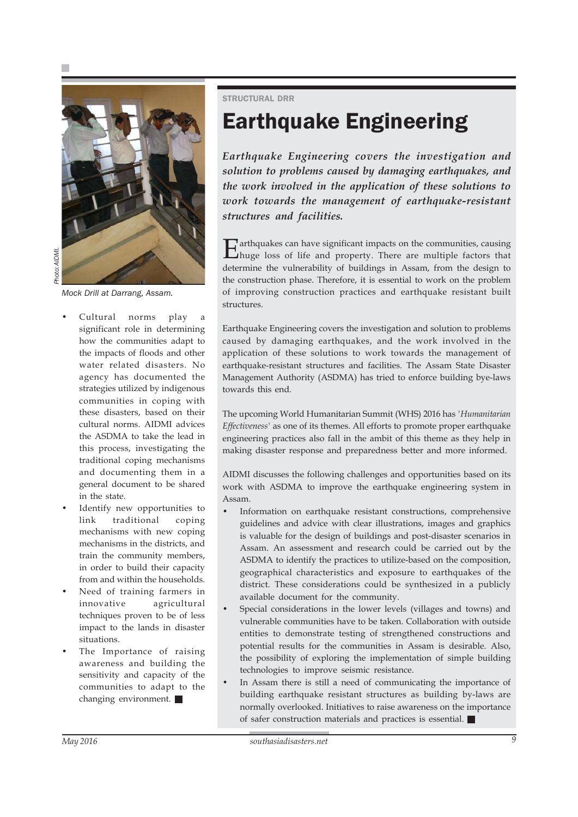

*Mock Drill at Darrang, Assam.*

- Cultural norms play a significant role in determining how the communities adapt to the impacts of floods and other water related disasters. No agency has documented the strategies utilized by indigenous communities in coping with these disasters, based on their cultural norms. AIDMI advices the ASDMA to take the lead in this process, investigating the traditional coping mechanisms and documenting them in a general document to be shared in the state.
- Identify new opportunities to link traditional coping mechanisms with new coping mechanisms in the districts, and train the community members, in order to build their capacity from and within the households.
- Need of training farmers in innovative agricultural techniques proven to be of less impact to the lands in disaster situations.
- The Importance of raising awareness and building the sensitivity and capacity of the communities to adapt to the changing environment.

STRUCTURAL DRR

# Earthquake Engineering

*Earthquake Engineering covers the investigation and solution to problems caused by damaging earthquakes, and the work involved in the application of these solutions to work towards the management of earthquake-resistant structures and facilities.*

Earthquakes can have significant impacts on the communities, causing huge loss of life and property. There are multiple factors that determine the vulnerability of buildings in Assam, from the design to the construction phase. Therefore, it is essential to work on the problem of improving construction practices and earthquake resistant built structures.

Earthquake Engineering covers the investigation and solution to problems caused by damaging earthquakes, and the work involved in the application of these solutions to work towards the management of earthquake-resistant structures and facilities. The Assam State Disaster Management Authority (ASDMA) has tried to enforce building bye-laws towards this end.

The upcoming World Humanitarian Summit (WHS) 2016 has *'Humanitarian Effectiveness'* as one of its themes. All efforts to promote proper earthquake engineering practices also fall in the ambit of this theme as they help in making disaster response and preparedness better and more informed.

AIDMI discusses the following challenges and opportunities based on its work with ASDMA to improve the earthquake engineering system in Assam.

- Information on earthquake resistant constructions, comprehensive guidelines and advice with clear illustrations, images and graphics is valuable for the design of buildings and post-disaster scenarios in Assam. An assessment and research could be carried out by the ASDMA to identify the practices to utilize-based on the composition, geographical characteristics and exposure to earthquakes of the district. These considerations could be synthesized in a publicly available document for the community.
	- Special considerations in the lower levels (villages and towns) and vulnerable communities have to be taken. Collaboration with outside entities to demonstrate testing of strengthened constructions and potential results for the communities in Assam is desirable. Also, the possibility of exploring the implementation of simple building technologies to improve seismic resistance.
	- In Assam there is still a need of communicating the importance of building earthquake resistant structures as building by-laws are normally overlooked. Initiatives to raise awareness on the importance of safer construction materials and practices is essential.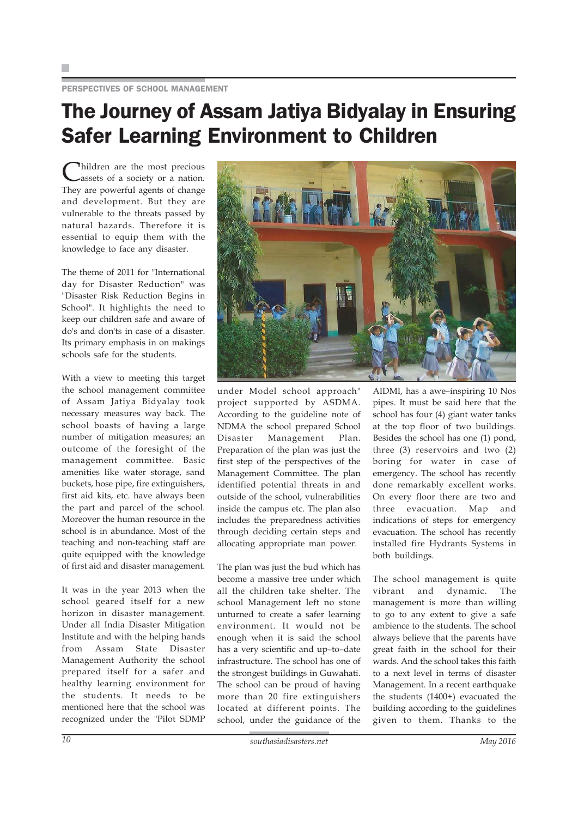### The Journey of Assam Jatiya Bidyalay in Ensuring Safer Learning Environment to Children

Children are the most precious<br>assets of a society or a nation. They are powerful agents of change and development. But they are vulnerable to the threats passed by natural hazards. Therefore it is essential to equip them with the knowledge to face any disaster.

The theme of 2011 for "International day for Disaster Reduction" was "Disaster Risk Reduction Begins in School". It highlights the need to keep our children safe and aware of do's and don'ts in case of a disaster. Its primary emphasis in on makings schools safe for the students.

With a view to meeting this target the school management committee of Assam Jatiya Bidyalay took necessary measures way back. The school boasts of having a large number of mitigation measures; an outcome of the foresight of the management committee. Basic amenities like water storage, sand buckets, hose pipe, fire extinguishers, first aid kits, etc. have always been the part and parcel of the school. Moreover the human resource in the school is in abundance. Most of the teaching and non-teaching staff are quite equipped with the knowledge of first aid and disaster management.

It was in the year 2013 when the school geared itself for a new horizon in disaster management. Under all India Disaster Mitigation Institute and with the helping hands from Assam State Disaster Management Authority the school prepared itself for a safer and healthy learning environment for the students. It needs to be mentioned here that the school was recognized under the "Pilot SDMP



under Model school approach" project supported by ASDMA. According to the guideline note of NDMA the school prepared School Disaster Management Plan. Preparation of the plan was just the first step of the perspectives of the Management Committee. The plan identified potential threats in and outside of the school, vulnerabilities inside the campus etc. The plan also includes the preparedness activities through deciding certain steps and allocating appropriate man power.

The plan was just the bud which has become a massive tree under which all the children take shelter. The school Management left no stone unturned to create a safer learning environment. It would not be enough when it is said the school has a very scientific and up–to–date infrastructure. The school has one of the strongest buildings in Guwahati. The school can be proud of having more than 20 fire extinguishers located at different points. The school, under the guidance of the

AIDMI, has a awe–inspiring 10 Nos pipes. It must be said here that the school has four (4) giant water tanks at the top floor of two buildings. Besides the school has one (1) pond, three (3) reservoirs and two (2) boring for water in case of emergency. The school has recently done remarkably excellent works. On every floor there are two and three evacuation. Map and indications of steps for emergency evacuation. The school has recently installed fire Hydrants Systems in both buildings.

The school management is quite vibrant and dynamic. The management is more than willing to go to any extent to give a safe ambience to the students. The school always believe that the parents have great faith in the school for their wards. And the school takes this faith to a next level in terms of disaster Management. In a recent earthquake the students (1400+) evacuated the building according to the guidelines given to them. Thanks to the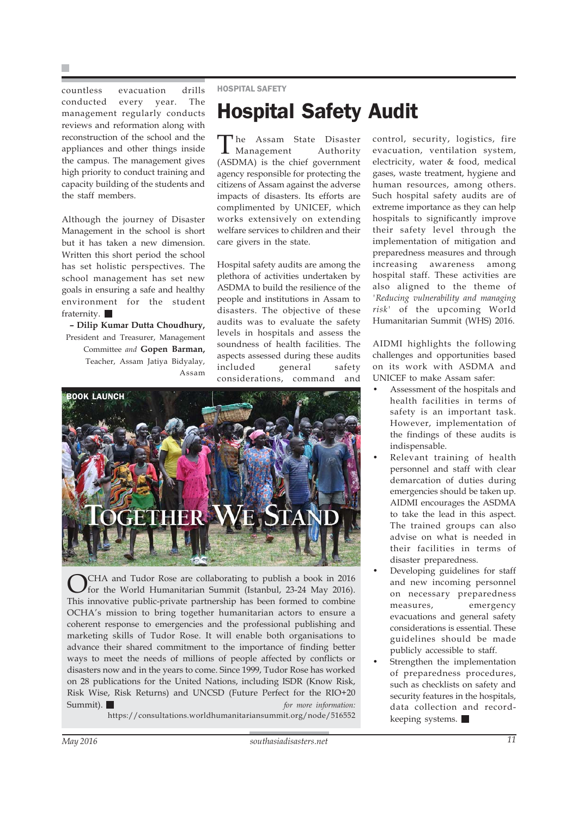countless evacuation drills conducted every year. The management regularly conducts reviews and reformation along with reconstruction of the school and the appliances and other things inside the campus. The management gives high priority to conduct training and capacity building of the students and the staff members.

Although the journey of Disaster Management in the school is short but it has taken a new dimension. Written this short period the school has set holistic perspectives. The school management has set new goals in ensuring a safe and healthy environment for the student fraternity.

**– Dilip Kumar Dutta Choudhury,** President and Treasurer, Management Committee *and* **Gopen Barman,** Teacher, Assam Jatiya Bidyalay, Assam

#### HOSPITAL SAFETY

### Hospital Safety Audit

The Assam State Disaster<br>Management Authority  $\mathsf{L}$  Management (ASDMA) is the chief government agency responsible for protecting the citizens of Assam against the adverse impacts of disasters. Its efforts are complimented by UNICEF, which works extensively on extending welfare services to children and their care givers in the state.

Hospital safety audits are among the plethora of activities undertaken by ASDMA to build the resilience of the people and institutions in Assam to disasters. The objective of these audits was to evaluate the safety levels in hospitals and assess the soundness of health facilities. The aspects assessed during these audits included general safety considerations, command and



OCHA and Tudor Rose are collaborating to publish a book in 2016 for the World Humanitarian Summit (Istanbul, 23-24 May 2016). This innovative public-private partnership has been formed to combine OCHA's mission to bring together humanitarian actors to ensure a coherent response to emergencies and the professional publishing and marketing skills of Tudor Rose. It will enable both organisations to advance their shared commitment to the importance of finding better ways to meet the needs of millions of people affected by conflicts or disasters now and in the years to come. Since 1999, Tudor Rose has worked on 28 publications for the United Nations, including ISDR (Know Risk, Risk Wise, Risk Returns) and UNCSD (Future Perfect for the RIO+20 Summit). *for more information: for more information:* 

https://consultations.worldhumanitariansummit.org/node/516552

control, security, logistics, fire evacuation, ventilation system, electricity, water & food, medical gases, waste treatment, hygiene and human resources, among others. Such hospital safety audits are of extreme importance as they can help hospitals to significantly improve their safety level through the implementation of mitigation and preparedness measures and through increasing awareness among hospital staff. These activities are also aligned to the theme of *'Reducing vulnerability and managing risk'* of the upcoming World Humanitarian Summit (WHS) 2016.

AIDMI highlights the following challenges and opportunities based on its work with ASDMA and UNICEF to make Assam safer:

- Assessment of the hospitals and health facilities in terms of safety is an important task. However, implementation of the findings of these audits is indispensable.
- Relevant training of health personnel and staff with clear demarcation of duties during emergencies should be taken up. AIDMI encourages the ASDMA to take the lead in this aspect. The trained groups can also advise on what is needed in their facilities in terms of disaster preparedness.
- Developing guidelines for staff and new incoming personnel on necessary preparedness measures, emergency evacuations and general safety considerations is essential. These guidelines should be made publicly accessible to staff.
- Strengthen the implementation of preparedness procedures, such as checklists on safety and security features in the hospitals, data collection and recordkeeping systems.